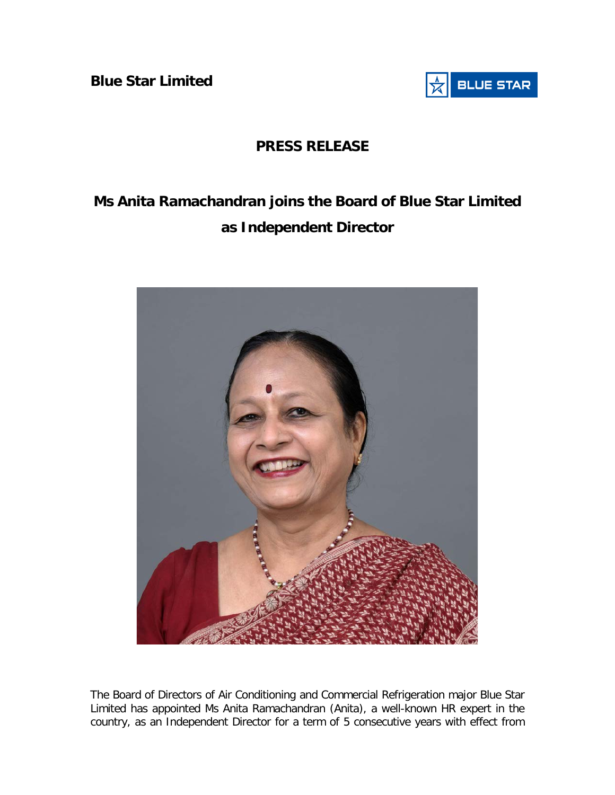**Blue Star Limited** 



## **PRESS RELEASE**

## **Ms Anita Ramachandran joins the Board of Blue Star Limited as Independent Director**



The Board of Directors of Air Conditioning and Commercial Refrigeration major Blue Star Limited has appointed Ms Anita Ramachandran (Anita), a well-known HR expert in the country, as an Independent Director for a term of 5 consecutive years with effect from